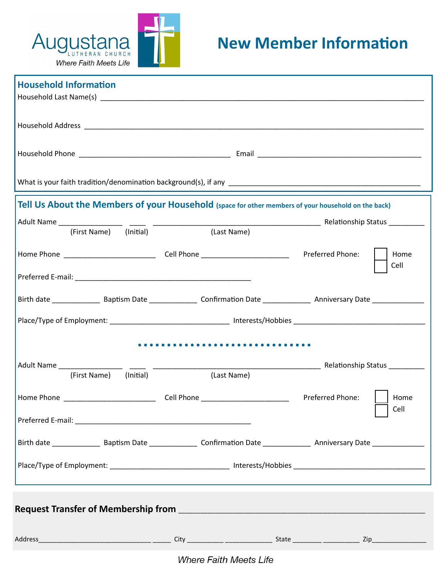

| <b>Household Information</b>                                                                        |                          |                                  |  |  |  |  |  |  |
|-----------------------------------------------------------------------------------------------------|--------------------------|----------------------------------|--|--|--|--|--|--|
|                                                                                                     |                          |                                  |  |  |  |  |  |  |
|                                                                                                     |                          |                                  |  |  |  |  |  |  |
|                                                                                                     |                          |                                  |  |  |  |  |  |  |
| Tell Us About the Members of your Household (space for other members of your household on the back) |                          |                                  |  |  |  |  |  |  |
|                                                                                                     |                          |                                  |  |  |  |  |  |  |
| (First Name) (Initial)                                                                              | (Last Name)              |                                  |  |  |  |  |  |  |
|                                                                                                     |                          | Preferred Phone:<br>Home<br>Cell |  |  |  |  |  |  |
|                                                                                                     |                          |                                  |  |  |  |  |  |  |
|                                                                                                     |                          |                                  |  |  |  |  |  |  |
|                                                                                                     |                          |                                  |  |  |  |  |  |  |
|                                                                                                     |                          |                                  |  |  |  |  |  |  |
| Adult Name                                                                                          |                          |                                  |  |  |  |  |  |  |
| (First Name) (Initial)                                                                              | (Last Name)              |                                  |  |  |  |  |  |  |
| Home Phone                                                                                          | ______________Cell Phone | Preferred Phone:<br>Home<br>Cell |  |  |  |  |  |  |
|                                                                                                     |                          |                                  |  |  |  |  |  |  |
|                                                                                                     |                          |                                  |  |  |  |  |  |  |
|                                                                                                     |                          |                                  |  |  |  |  |  |  |
|                                                                                                     |                          |                                  |  |  |  |  |  |  |
|                                                                                                     |                          |                                  |  |  |  |  |  |  |

**Where Faith Meets Life**